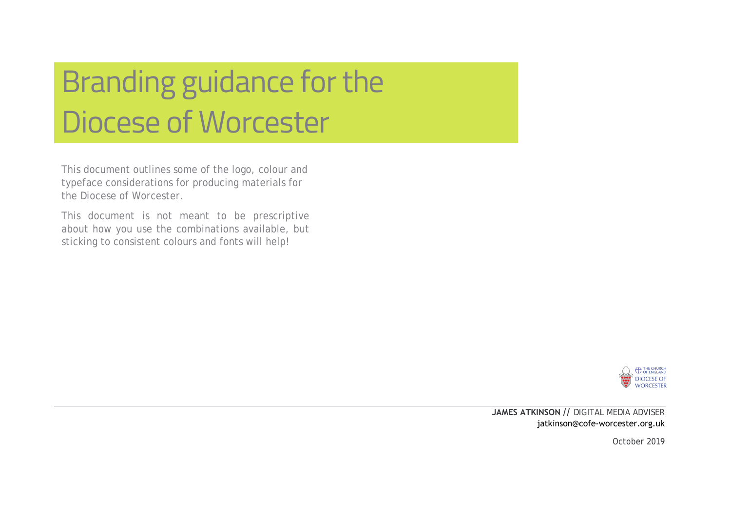# Branding guidance for the Diocese of Worcester

This document outlines some of the logo, colour and typeface considerations for producing materials for the Diocese of Worcester.

This document is not meant to be prescriptive about how you use the combinations available, but sticking to consistent colours and fonts will help!



**JAMES ATKINSON //** DIGITAL MEDIA ADVISER j[atkinson@cofe-worcester.org.uk](mailto:dkemp@cofe-worcester.org.uk)

October 2019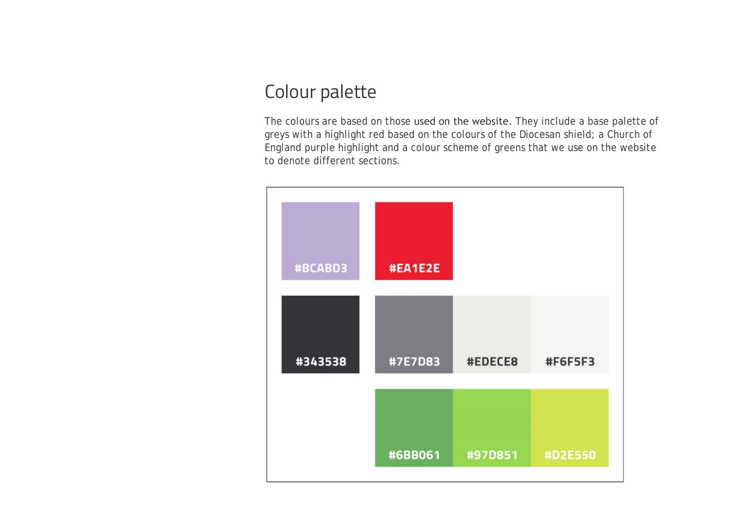#### Colour palette

The colours are based on those used on the website. They include a base palette of greys with a highlight red based on the colours of the Diocesan shield; a Church of England purple highlight and a colour scheme of greens that we use on the website to denote different sections.

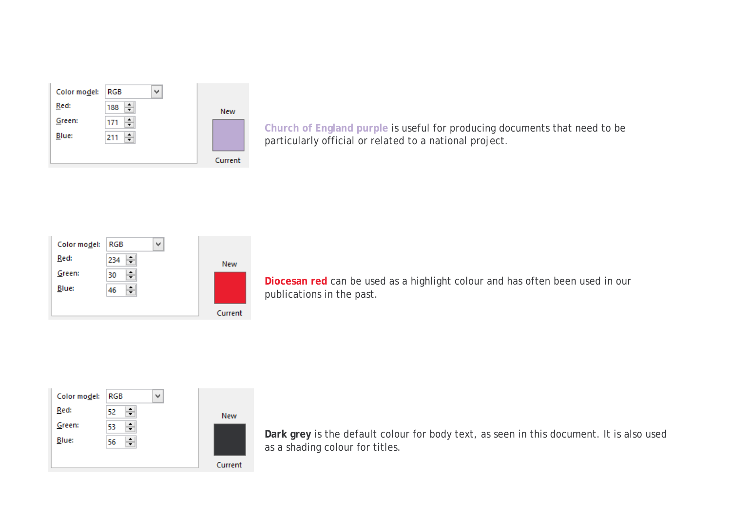| Color model: | RGB<br>v |         |
|--------------|----------|---------|
| Red:         | ÷<br>188 | New     |
| Green:       | ÷<br>171 |         |
| Blue:        | ÷<br>211 |         |
|              |          |         |
|              |          | Current |

**Church of England purple** is useful for producing documents that need to be particularly official or related to a national project.



**Diocesan red** can be used as a highlight colour and has often been used in our publications in the past.



**Dark grey** is the default colour for body text, as seen in this document. It is also used as a shading colour for titles.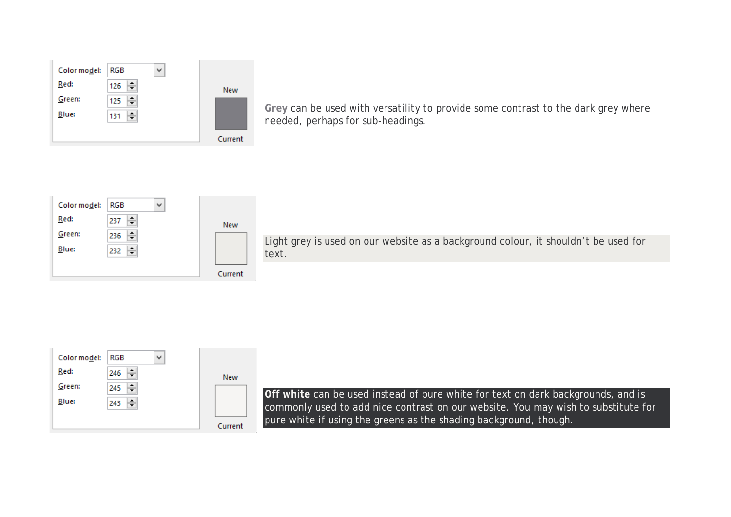| Color model: | RGB<br>v |            |
|--------------|----------|------------|
| Red:         | ÷<br>126 | <b>New</b> |
| Green:       | ÷<br>125 |            |
| Blue:        | ÷<br>131 |            |
|              |          |            |
|              |          | Current    |

**Grey** can be used with versatility to provide some contrast to the dark grey where needed, perhaps for sub-headings.

| Color model: | RGB<br>v      |         |
|--------------|---------------|---------|
| Red:         | ÷<br>237      | New     |
| Green:       | ۰<br>236<br>▼ |         |
| Blue:        | ÷<br>232      |         |
|              |               |         |
|              |               | Current |

Light grey is used on our website as a background colour, it shouldn't be used for text.

| Color model: | <b>RGB</b><br>w |         |
|--------------|-----------------|---------|
| Red:         | ÷<br>246        | New     |
| Green:       | ٠<br>245        |         |
| Blue:        | ٠.<br>243       |         |
|              |                 |         |
|              |                 | Current |

**Off white** can be used instead of pure white for text on dark backgrounds, and is commonly used to add nice contrast on our website. You may wish to substitute for pure white if using the greens as the shading background, though.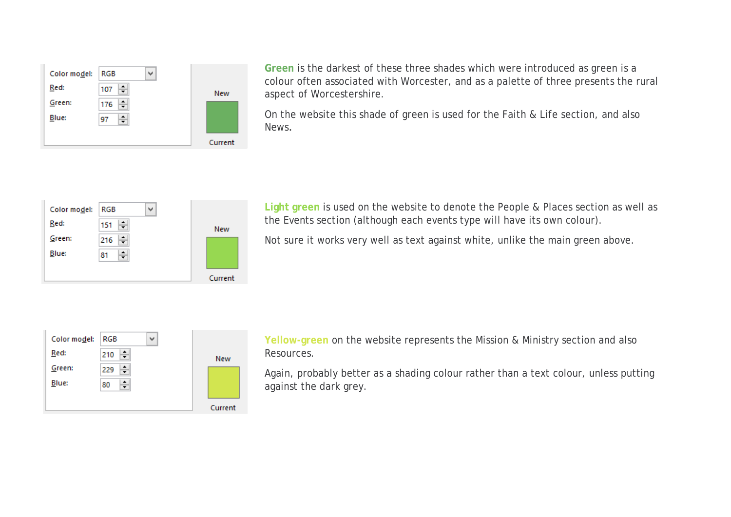| Color model: | <b>RGB</b>   | $\checkmark$ |            |
|--------------|--------------|--------------|------------|
| Red:         | ≛<br>107     |              | <b>New</b> |
| Green:       | ۰<br>176     |              |            |
| Blue:        | ۰<br>97<br>÷ |              |            |
|              |              |              |            |
|              |              |              | Current    |

**Green** is the darkest of these three shades which were introduced as green is a colour often associated with Worcester, and as a palette of three presents the rural aspect of Worcestershire.

On the website this shade of green is used for the Faith & Life section, and also News.

| Color model: | RGB      | v |         |
|--------------|----------|---|---------|
| Red:         | ÷<br>151 |   | New     |
| Green:       | ÷<br>216 |   |         |
| Blue:        | ÷<br>81  |   |         |
|              |          |   |         |
|              |          |   | Current |

**Light green** is used on the website to denote the People & Places section as well as the Events section (although each events type will have its own colour).

Not sure it works very well as text against white, unlike the main green above.

| Color model: | RGB<br>v |            |
|--------------|----------|------------|
| Red:         | ÷<br>210 | <b>New</b> |
| Green:       | ÷<br>229 |            |
| Blue:        | ÷<br>80  |            |
|              |          |            |
|              |          | Current    |

**Yellow-green** on the website represents the Mission & Ministry section and also Resources.

Again, probably better as a shading colour rather than a text colour, unless putting against the dark grey.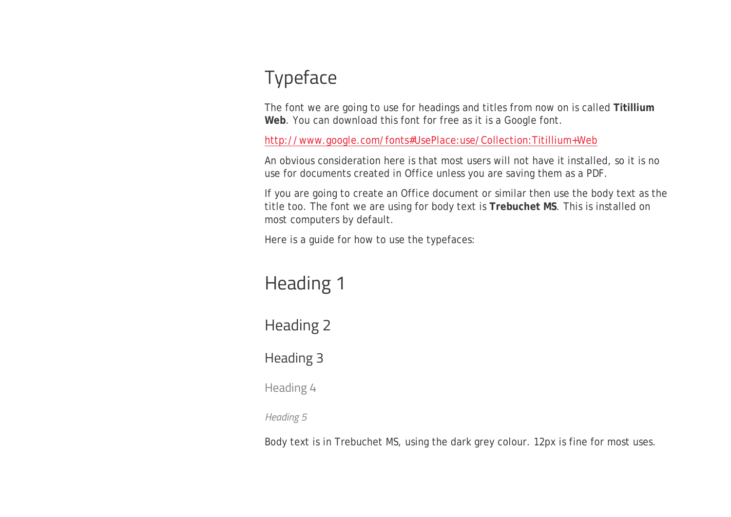### Typeface

The font we are going to use for headings and titles from now on is called **Titillium Web**. You can download this font for free as it is a Google font.

[http://www.google.com/fonts#UsePlace:use/Collection:Titillium+Web](http://www.google.com/fonts%23UsePlace:use/Collection:Titillium+Web)

An obvious consideration here is that most users will not have it installed, so it is no use for documents created in Office unless you are saving them as a PDF.

If you are going to create an Office document or similar then use the body text as the title too. The font we are using for body text is **Trebuchet MS**. This is installed on most computers by default.

Here is a guide for how to use the typefaces:

## Heading 1

Heading 2

Heading 3

Heading 4

*Heading 5*

Body text is in Trebuchet MS, using the dark grey colour. 12px is fine for most uses.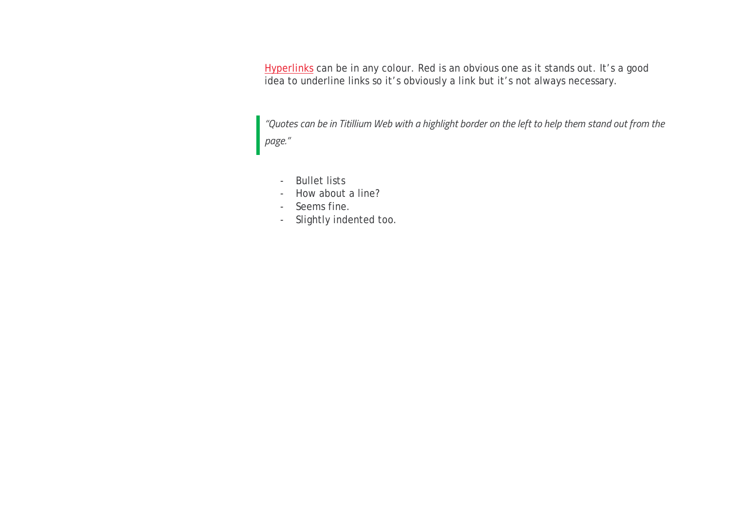Hyperlinks can be in any colour. Red is an obvious one as it stands out. It's a good idea to underline links so it's obviously a link but it's not always necessary.

*"Quotes can be in Titillium Web with a highlight border on the left to help them stand out from the page."*

- Bullet lists
- How about a line?
- Seems fine.
- Slightly indented too.